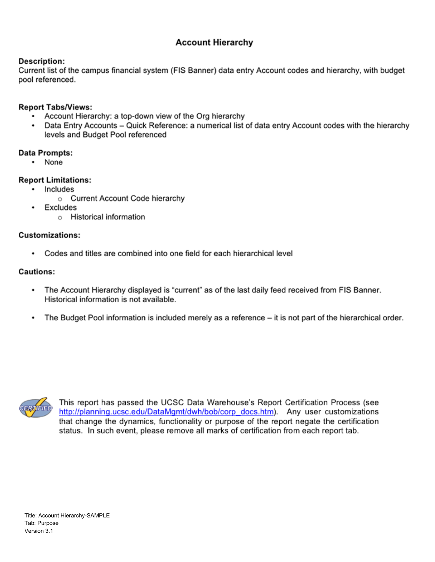# **Account Hierarchy**

### **Description:**

Current list of the campus financial system (FIS Banner) data entry Account codes and hierarchy, with budget pool referenced.

### **Report Tabs/Views:**

- Account Hierarchy: a top-down view of the Org hierarchy
- Data Entry Accounts Quick Reference: a numerical list of data entry Account codes with the hierarchy levels and Budget Pool referenced

#### Data Prompts:

• None

### **Report Limitations:**

- Includes
	- o Current Account Code hierarchy
	- Excludes
		- o Historical information

#### **Customizations:**

• Codes and titles are combined into one field for each hierarchical level

### **Cautions:**

.

- The Account Hierarchy displayed is "current" as of the last daily feed received from FIS Banner. ٠ Historical information is not available.
- The Budget Pool information is included merely as a reference it is not part of the hierarchical order. .



This report has passed the UCSC Data Warehouse's Report Certification Process (see http://planning.ucsc.edu/DataMgmt/dwh/bob/corp\_docs.htm). Any user customizations that change the dynamics, functionality or purpose of the report negate the certification status. In such event, please remove all marks of certification from each report tab.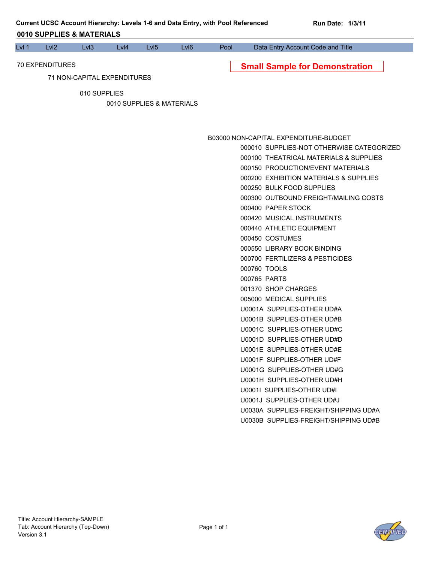| Lvl 1 | Lvl2                        | LvI3         | Lvl4 | LvI <sub>5</sub>          | LvI <sub>6</sub> | Pool | Data Entry Account Code and Title                                           |
|-------|-----------------------------|--------------|------|---------------------------|------------------|------|-----------------------------------------------------------------------------|
|       | 70 EXPENDITURES             |              |      |                           |                  |      |                                                                             |
|       | 71 NON-CAPITAL EXPENDITURES |              |      |                           |                  |      | <b>Small Sample for Demonstration</b>                                       |
|       |                             |              |      |                           |                  |      |                                                                             |
|       |                             | 010 SUPPLIES |      |                           |                  |      |                                                                             |
|       |                             |              |      | 0010 SUPPLIES & MATERIALS |                  |      |                                                                             |
|       |                             |              |      |                           |                  |      |                                                                             |
|       |                             |              |      |                           |                  |      |                                                                             |
|       |                             |              |      |                           |                  |      | B03000 NON-CAPITAL EXPENDITURE-BUDGET                                       |
|       |                             |              |      |                           |                  |      | 000010 SUPPLIES-NOT OTHERWISE CATEGORIZED                                   |
|       |                             |              |      |                           |                  |      | 000100 THEATRICAL MATERIALS & SUPPLIES<br>000150 PRODUCTION/EVENT MATERIALS |
|       |                             |              |      |                           |                  |      | 000200 EXHIBITION MATERIALS & SUPPLIES                                      |
|       |                             |              |      |                           |                  |      | 000250 BULK FOOD SUPPLIES                                                   |
|       |                             |              |      |                           |                  |      | 000300 OUTBOUND FREIGHT/MAILING COSTS                                       |
|       |                             |              |      |                           |                  |      | 000400 PAPER STOCK                                                          |
|       |                             |              |      |                           |                  |      | 000420 MUSICAL INSTRUMENTS                                                  |
|       |                             |              |      |                           |                  |      | 000440 ATHLETIC EQUIPMENT                                                   |
|       |                             |              |      |                           |                  |      | 000450 COSTUMES                                                             |
|       |                             |              |      |                           |                  |      | 000550 LIBRARY BOOK BINDING                                                 |
|       |                             |              |      |                           |                  |      | 000700 FERTILIZERS & PESTICIDES                                             |
|       |                             |              |      |                           |                  |      | 000760 TOOLS                                                                |
|       |                             |              |      |                           |                  |      | 000765 PARTS                                                                |
|       |                             |              |      |                           |                  |      | 001370 SHOP CHARGES                                                         |
|       |                             |              |      |                           |                  |      | 005000 MEDICAL SUPPLIES                                                     |
|       |                             |              |      |                           |                  |      | U0001A SUPPLIES-OTHER UD#A                                                  |
|       |                             |              |      |                           |                  |      | U0001B SUPPLIES-OTHER UD#B                                                  |
|       |                             |              |      |                           |                  |      | U0001C SUPPLIES-OTHER UD#C                                                  |
|       |                             |              |      |                           |                  |      | U0001D SUPPLIES-OTHER UD#D                                                  |
|       |                             |              |      |                           |                  |      | U0001E SUPPLIES-OTHER UD#E                                                  |
|       |                             |              |      |                           |                  |      | U0001F SUPPLIES-OTHER UD#F                                                  |
|       |                             |              |      |                           |                  |      | U0001G SUPPLIES-OTHER UD#G                                                  |
|       |                             |              |      |                           |                  |      | U0001H SUPPLIES-OTHER UD#H                                                  |
|       |                             |              |      |                           |                  |      | U0001I SUPPLIES-OTHER UD#I                                                  |
|       |                             |              |      |                           |                  |      | U0001J SUPPLIES-OTHER UD#J                                                  |
|       |                             |              |      |                           |                  |      | U0030A SUPPLIES-FREIGHT/SHIPPING UD#A                                       |
|       |                             |              |      |                           |                  |      | U0030B SUPPLIES-FREIGHT/SHIPPING UD#B                                       |